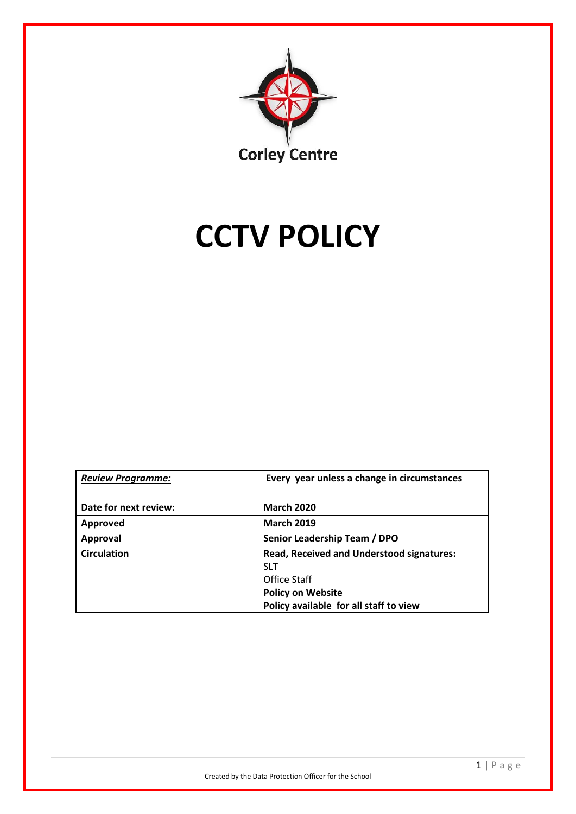

# **CCTV POLICY**

| <b>Review Programme:</b> | Every year unless a change in circumstances                    |
|--------------------------|----------------------------------------------------------------|
| Date for next review:    | <b>March 2020</b>                                              |
| <b>Approved</b>          | <b>March 2019</b>                                              |
| <b>Approval</b>          | Senior Leadership Team / DPO                                   |
| <b>Circulation</b>       | <b>Read, Received and Understood signatures:</b><br><b>SLT</b> |
|                          | Office Staff                                                   |
|                          | <b>Policy on Website</b>                                       |
|                          | Policy available for all staff to view                         |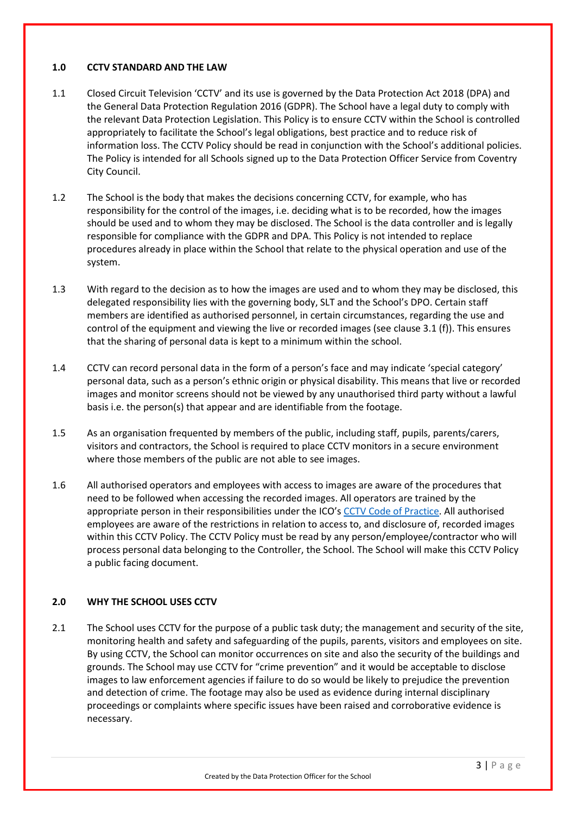## **1.0 CCTV STANDARD AND THE LAW**

- 1.1 Closed Circuit Television 'CCTV' and its use is governed by the Data Protection Act 2018 (DPA) and the General Data Protection Regulation 2016 (GDPR). The School have a legal duty to comply with the relevant Data Protection Legislation. This Policy is to ensure CCTV within the School is controlled appropriately to facilitate the School's legal obligations, best practice and to reduce risk of information loss. The CCTV Policy should be read in conjunction with the School's additional policies. The Policy is intended for all Schools signed up to the Data Protection Officer Service from Coventry City Council.
- 1.2 The School is the body that makes the decisions concerning CCTV, for example, who has responsibility for the control of the images, i.e. deciding what is to be recorded, how the images should be used and to whom they may be disclosed. The School is the data controller and is legally responsible for compliance with the GDPR and DPA. This Policy is not intended to replace procedures already in place within the School that relate to the physical operation and use of the system.
- 1.3 With regard to the decision as to how the images are used and to whom they may be disclosed, this delegated responsibility lies with the governing body, SLT and the School's DPO. Certain staff members are identified as authorised personnel, in certain circumstances, regarding the use and control of the equipment and viewing the live or recorded images (see clause 3.1 (f)). This ensures that the sharing of personal data is kept to a minimum within the school.
- 1.4 CCTV can record personal data in the form of a person's face and may indicate 'special category' personal data, such as a person's ethnic origin or physical disability. This means that live or recorded images and monitor screens should not be viewed by any unauthorised third party without a lawful basis i.e. the person(s) that appear and are identifiable from the footage.
- 1.5 As an organisation frequented by members of the public, including staff, pupils, parents/carers, visitors and contractors, the School is required to place CCTV monitors in a secure environment where those members of the public are not able to see images.
- 1.6 All authorised operators and employees with access to images are aware of the procedures that need to be followed when accessing the recorded images. All operators are trained by the appropriate person in their responsibilities under the ICO's [CCTV Code of Practice.](https://ico.org.uk/media/for-organisations/documents/1542/cctv-code-of-practice.pdf) All authorised employees are aware of the restrictions in relation to access to, and disclosure of, recorded images within this CCTV Policy. The CCTV Policy must be read by any person/employee/contractor who will process personal data belonging to the Controller, the School. The School will make this CCTV Policy a public facing document.

## **2.0 WHY THE SCHOOL USES CCTV**

2.1 The School uses CCTV for the purpose of a public task duty; the management and security of the site, monitoring health and safety and safeguarding of the pupils, parents, visitors and employees on site. By using CCTV, the School can monitor occurrences on site and also the security of the buildings and grounds. The School may use CCTV for "crime prevention" and it would be acceptable to disclose images to law enforcement agencies if failure to do so would be likely to prejudice the prevention and detection of crime. The footage may also be used as evidence during internal disciplinary proceedings or complaints where specific issues have been raised and corroborative evidence is necessary.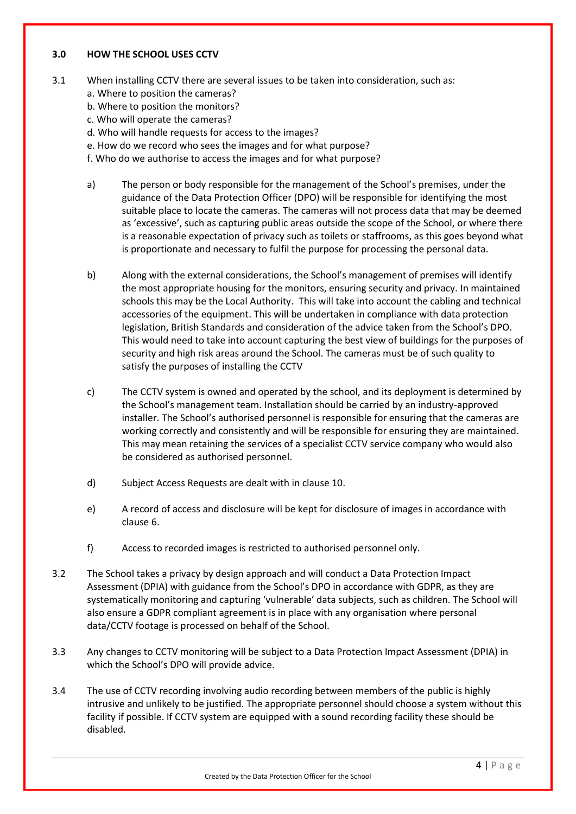#### **3.0 HOW THE SCHOOL USES CCTV**

- 3.1 When installing CCTV there are several issues to be taken into consideration, such as:
	- a. Where to position the cameras?
	- b. Where to position the monitors?
	- c. Who will operate the cameras?
	- d. Who will handle requests for access to the images?
	- e. How do we record who sees the images and for what purpose?
	- f. Who do we authorise to access the images and for what purpose?
	- a) The person or body responsible for the management of the School's premises, under the guidance of the Data Protection Officer (DPO) will be responsible for identifying the most suitable place to locate the cameras. The cameras will not process data that may be deemed as 'excessive', such as capturing public areas outside the scope of the School, or where there is a reasonable expectation of privacy such as toilets or staffrooms, as this goes beyond what is proportionate and necessary to fulfil the purpose for processing the personal data.
	- b) Along with the external considerations, the School's management of premises will identify the most appropriate housing for the monitors, ensuring security and privacy. In maintained schools this may be the Local Authority. This will take into account the cabling and technical accessories of the equipment. This will be undertaken in compliance with data protection legislation, British Standards and consideration of the advice taken from the School's DPO. This would need to take into account capturing the best view of buildings for the purposes of security and high risk areas around the School. The cameras must be of such quality to satisfy the purposes of installing the CCTV
	- c) The CCTV system is owned and operated by the school, and its deployment is determined by the School's management team. Installation should be carried by an industry-approved installer. The School's authorised personnel is responsible for ensuring that the cameras are working correctly and consistently and will be responsible for ensuring they are maintained. This may mean retaining the services of a specialist CCTV service company who would also be considered as authorised personnel.
	- d) Subject Access Requests are dealt with in clause 10.
	- e) A record of access and disclosure will be kept for disclosure of images in accordance with clause 6.
	- f) Access to recorded images is restricted to authorised personnel only.
- 3.2 The School takes a privacy by design approach and will conduct a Data Protection Impact Assessment (DPIA) with guidance from the School's DPO in accordance with GDPR, as they are systematically monitoring and capturing 'vulnerable' data subjects, such as children. The School will also ensure a GDPR compliant agreement is in place with any organisation where personal data/CCTV footage is processed on behalf of the School.
- 3.3 Any changes to CCTV monitoring will be subject to a Data Protection Impact Assessment (DPIA) in which the School's DPO will provide advice.
- 3.4 The use of CCTV recording involving audio recording between members of the public is highly intrusive and unlikely to be justified. The appropriate personnel should choose a system without this facility if possible. If CCTV system are equipped with a sound recording facility these should be disabled.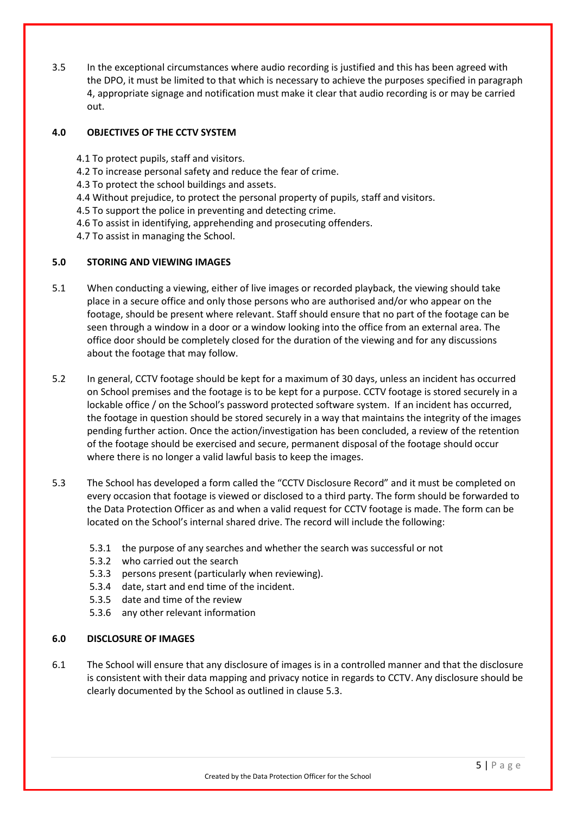3.5 In the exceptional circumstances where audio recording is justified and this has been agreed with the DPO, it must be limited to that which is necessary to achieve the purposes specified in paragraph 4, appropriate signage and notification must make it clear that audio recording is or may be carried out.

## **4.0 OBJECTIVES OF THE CCTV SYSTEM**

- 4.1 To protect pupils, staff and visitors.
- 4.2 To increase personal safety and reduce the fear of crime.
- 4.3 To protect the school buildings and assets.
- 4.4 Without prejudice, to protect the personal property of pupils, staff and visitors.
- 4.5 To support the police in preventing and detecting crime.
- 4.6 To assist in identifying, apprehending and prosecuting offenders.
- 4.7 To assist in managing the School.

#### **5.0 STORING AND VIEWING IMAGES**

- 5.1 When conducting a viewing, either of live images or recorded playback, the viewing should take place in a secure office and only those persons who are authorised and/or who appear on the footage, should be present where relevant. Staff should ensure that no part of the footage can be seen through a window in a door or a window looking into the office from an external area. The office door should be completely closed for the duration of the viewing and for any discussions about the footage that may follow.
- 5.2 In general, CCTV footage should be kept for a maximum of 30 days, unless an incident has occurred on School premises and the footage is to be kept for a purpose. CCTV footage is stored securely in a lockable office / on the School's password protected software system. If an incident has occurred, the footage in question should be stored securely in a way that maintains the integrity of the images pending further action. Once the action/investigation has been concluded, a review of the retention of the footage should be exercised and secure, permanent disposal of the footage should occur where there is no longer a valid lawful basis to keep the images.
- 5.3 The School has developed a form called the "CCTV Disclosure Record" and it must be completed on every occasion that footage is viewed or disclosed to a third party. The form should be forwarded to the Data Protection Officer as and when a valid request for CCTV footage is made. The form can be located on the School's internal shared drive. The record will include the following:
	- 5.3.1 the purpose of any searches and whether the search was successful or not
	- 5.3.2 who carried out the search
	- 5.3.3 persons present (particularly when reviewing).
	- 5.3.4 date, start and end time of the incident.
	- 5.3.5 date and time of the review
	- 5.3.6 any other relevant information

#### **6.0 DISCLOSURE OF IMAGES**

6.1 The School will ensure that any disclosure of images is in a controlled manner and that the disclosure is consistent with their data mapping and privacy notice in regards to CCTV. Any disclosure should be clearly documented by the School as outlined in clause 5.3.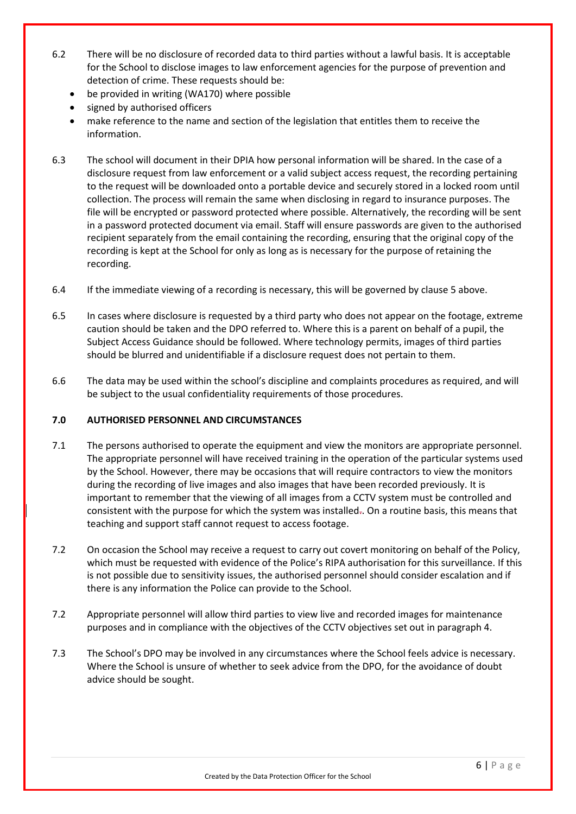- 6.2 There will be no disclosure of recorded data to third parties without a lawful basis. It is acceptable for the School to disclose images to law enforcement agencies for the purpose of prevention and detection of crime. These requests should be:
	- be provided in writing (WA170) where possible
	- signed by authorised officers
	- make reference to the name and section of the legislation that entitles them to receive the information.
- 6.3 The school will document in their DPIA how personal information will be shared. In the case of a disclosure request from law enforcement or a valid subject access request, the recording pertaining to the request will be downloaded onto a portable device and securely stored in a locked room until collection. The process will remain the same when disclosing in regard to insurance purposes. The file will be encrypted or password protected where possible. Alternatively, the recording will be sent in a password protected document via email. Staff will ensure passwords are given to the authorised recipient separately from the email containing the recording, ensuring that the original copy of the recording is kept at the School for only as long as is necessary for the purpose of retaining the recording.
- 6.4 If the immediate viewing of a recording is necessary, this will be governed by clause 5 above.
- 6.5 In cases where disclosure is requested by a third party who does not appear on the footage, extreme caution should be taken and the DPO referred to. Where this is a parent on behalf of a pupil, the Subject Access Guidance should be followed. Where technology permits, images of third parties should be blurred and unidentifiable if a disclosure request does not pertain to them.
- 6.6 The data may be used within the school's discipline and complaints procedures as required, and will be subject to the usual confidentiality requirements of those procedures.

## **7.0 AUTHORISED PERSONNEL AND CIRCUMSTANCES**

- 7.1 The persons authorised to operate the equipment and view the monitors are appropriate personnel. The appropriate personnel will have received training in the operation of the particular systems used by the School. However, there may be occasions that will require contractors to view the monitors during the recording of live images and also images that have been recorded previously. It is important to remember that the viewing of all images from a CCTV system must be controlled and consistent with the purpose for which the system was installed.. On a routine basis, this means that teaching and support staff cannot request to access footage.
- 7.2 On occasion the School may receive a request to carry out covert monitoring on behalf of the Policy, which must be requested with evidence of the Police's RIPA authorisation for this surveillance. If this is not possible due to sensitivity issues, the authorised personnel should consider escalation and if there is any information the Police can provide to the School.
- 7.2 Appropriate personnel will allow third parties to view live and recorded images for maintenance purposes and in compliance with the objectives of the CCTV objectives set out in paragraph 4.
- 7.3 The School's DPO may be involved in any circumstances where the School feels advice is necessary. Where the School is unsure of whether to seek advice from the DPO, for the avoidance of doubt advice should be sought.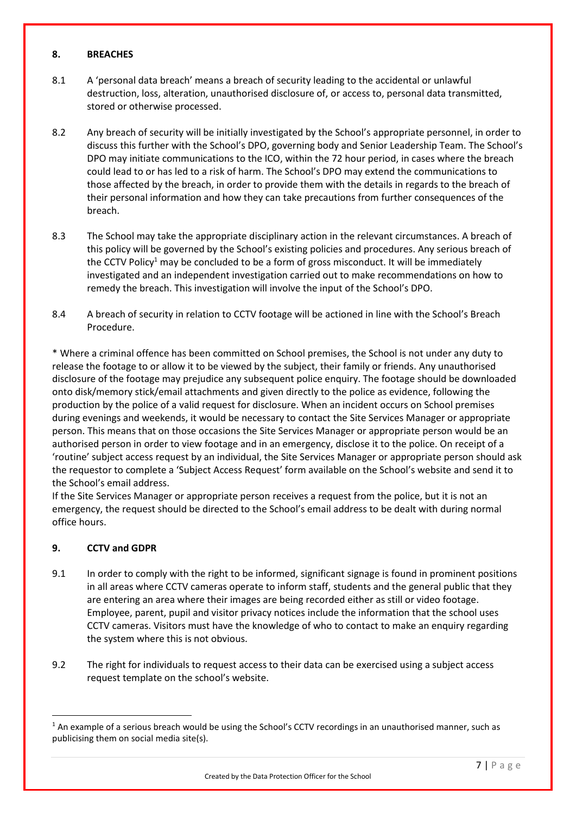#### **8. BREACHES**

- 8.1 A 'personal data breach' means a breach of security leading to the accidental or unlawful destruction, loss, alteration, unauthorised disclosure of, or access to, personal data transmitted, stored or otherwise processed.
- 8.2 Any breach of security will be initially investigated by the School's appropriate personnel, in order to discuss this further with the School's DPO, governing body and Senior Leadership Team. The School's DPO may initiate communications to the ICO, within the 72 hour period, in cases where the breach could lead to or has led to a risk of harm. The School's DPO may extend the communications to those affected by the breach, in order to provide them with the details in regards to the breach of their personal information and how they can take precautions from further consequences of the breach.
- 8.3 The School may take the appropriate disciplinary action in the relevant circumstances. A breach of this policy will be governed by the School's existing policies and procedures. Any serious breach of the CCTV Policy<sup>1</sup> may be concluded to be a form of gross misconduct. It will be immediately investigated and an independent investigation carried out to make recommendations on how to remedy the breach. This investigation will involve the input of the School's DPO.
- 8.4 A breach of security in relation to CCTV footage will be actioned in line with the School's Breach Procedure.

\* Where a criminal offence has been committed on School premises, the School is not under any duty to release the footage to or allow it to be viewed by the subject, their family or friends. Any unauthorised disclosure of the footage may prejudice any subsequent police enquiry. The footage should be downloaded onto disk/memory stick/email attachments and given directly to the police as evidence, following the production by the police of a valid request for disclosure. When an incident occurs on School premises during evenings and weekends, it would be necessary to contact the Site Services Manager or appropriate person. This means that on those occasions the Site Services Manager or appropriate person would be an authorised person in order to view footage and in an emergency, disclose it to the police. On receipt of a 'routine' subject access request by an individual, the Site Services Manager or appropriate person should ask the requestor to complete a 'Subject Access Request' form available on the School's website and send it to the School's email address.

If the Site Services Manager or appropriate person receives a request from the police, but it is not an emergency, the request should be directed to the School's email address to be dealt with during normal office hours.

## **9. CCTV and GDPR**

**.** 

- 9.1 In order to comply with the right to be informed, significant signage is found in prominent positions in all areas where CCTV cameras operate to inform staff, students and the general public that they are entering an area where their images are being recorded either as still or video footage. Employee, parent, pupil and visitor privacy notices include the information that the school uses CCTV cameras. Visitors must have the knowledge of who to contact to make an enquiry regarding the system where this is not obvious.
- 9.2 The right for individuals to request access to their data can be exercised using a subject access request template on the school's website.

 $1$  An example of a serious breach would be using the School's CCTV recordings in an unauthorised manner, such as publicising them on social media site(s).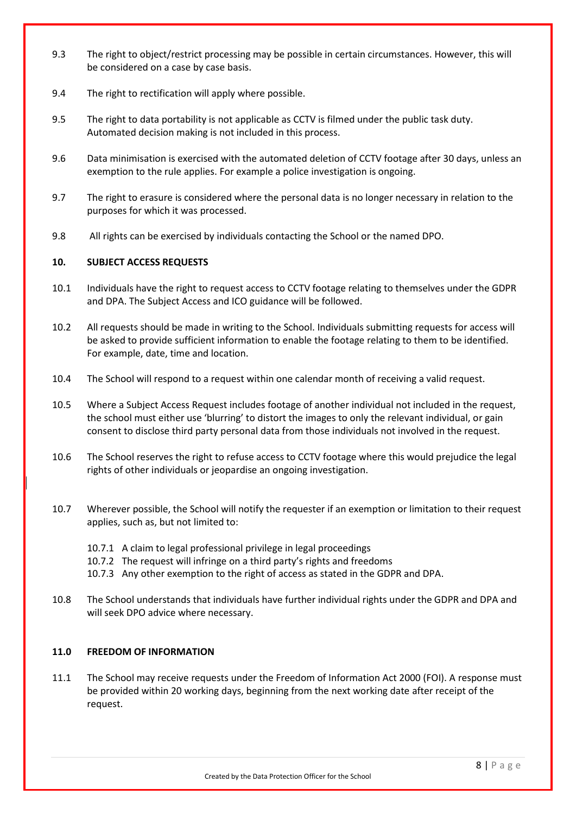- 9.3 The right to object/restrict processing may be possible in certain circumstances. However, this will be considered on a case by case basis.
- 9.4 The right to rectification will apply where possible.
- 9.5 The right to data portability is not applicable as CCTV is filmed under the public task duty. Automated decision making is not included in this process.
- 9.6 Data minimisation is exercised with the automated deletion of CCTV footage after 30 days, unless an exemption to the rule applies. For example a police investigation is ongoing.
- 9.7 The right to erasure is considered where the personal data is no longer necessary in relation to the purposes for which it was processed.
- 9.8 All rights can be exercised by individuals contacting the School or the named DPO.

# **10. SUBJECT ACCESS REQUESTS**

- 10.1 Individuals have the right to request access to CCTV footage relating to themselves under the GDPR and DPA. The Subject Access and ICO guidance will be followed.
- 10.2 All requests should be made in writing to the School. Individuals submitting requests for access will be asked to provide sufficient information to enable the footage relating to them to be identified. For example, date, time and location.
- 10.4 The School will respond to a request within one calendar month of receiving a valid request.
- 10.5 Where a Subject Access Request includes footage of another individual not included in the request, the school must either use 'blurring' to distort the images to only the relevant individual, or gain consent to disclose third party personal data from those individuals not involved in the request.
- 10.6 The School reserves the right to refuse access to CCTV footage where this would prejudice the legal rights of other individuals or jeopardise an ongoing investigation.
- 10.7 Wherever possible, the School will notify the requester if an exemption or limitation to their request applies, such as, but not limited to:
	- 10.7.1 A claim to legal professional privilege in legal proceedings
	- 10.7.2 The request will infringe on a third party's rights and freedoms
	- 10.7.3 Any other exemption to the right of access as stated in the GDPR and DPA.
- 10.8 The School understands that individuals have further individual rights under the GDPR and DPA and will seek DPO advice where necessary.

# **11.0 FREEDOM OF INFORMATION**

11.1 The School may receive requests under the Freedom of Information Act 2000 (FOI). A response must be provided within 20 working days, beginning from the next working date after receipt of the request.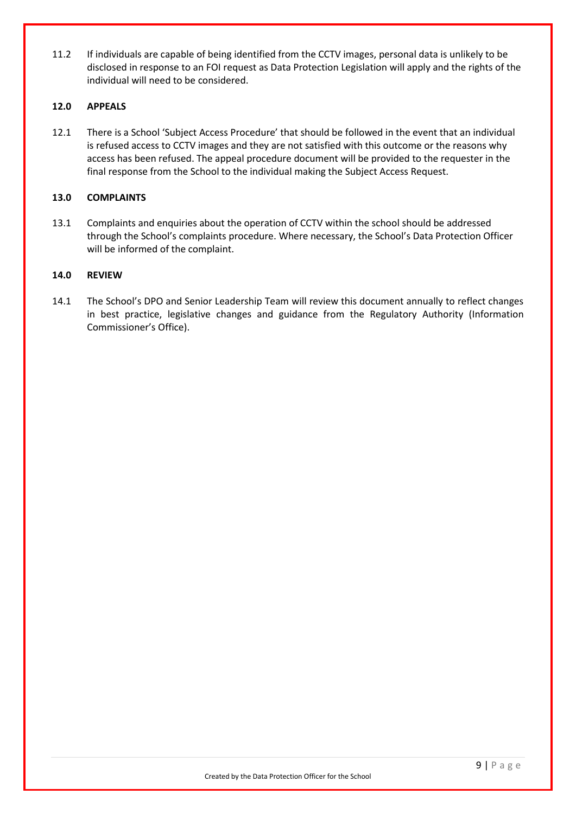11.2 If individuals are capable of being identified from the CCTV images, personal data is unlikely to be disclosed in response to an FOI request as Data Protection Legislation will apply and the rights of the individual will need to be considered.

## **12.0 APPEALS**

12.1 There is a School 'Subject Access Procedure' that should be followed in the event that an individual is refused access to CCTV images and they are not satisfied with this outcome or the reasons why access has been refused. The appeal procedure document will be provided to the requester in the final response from the School to the individual making the Subject Access Request.

#### **13.0 COMPLAINTS**

13.1 Complaints and enquiries about the operation of CCTV within the school should be addressed through the School's complaints procedure. Where necessary, the School's Data Protection Officer will be informed of the complaint.

#### **14.0 REVIEW**

14.1 The School's DPO and Senior Leadership Team will review this document annually to reflect changes in best practice, legislative changes and guidance from the Regulatory Authority (Information Commissioner's Office).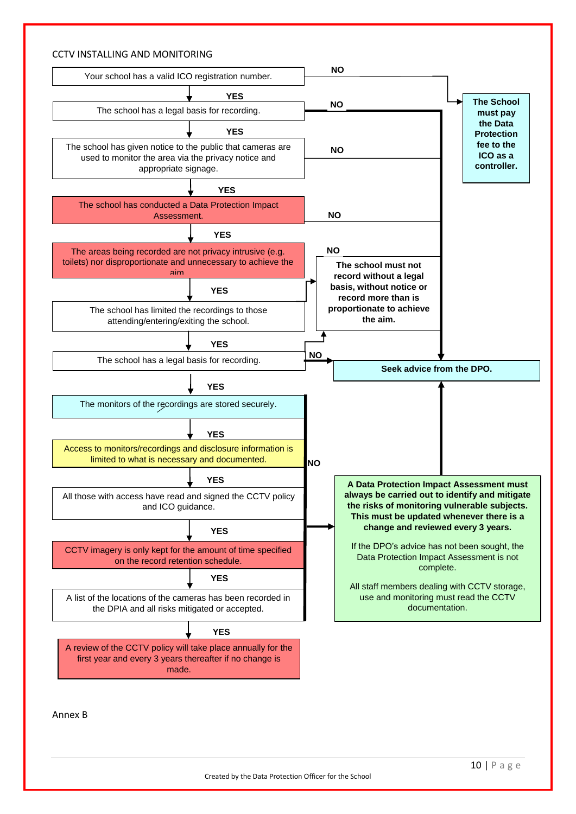## CCTV INSTALLING AND MONITORING



Annex B